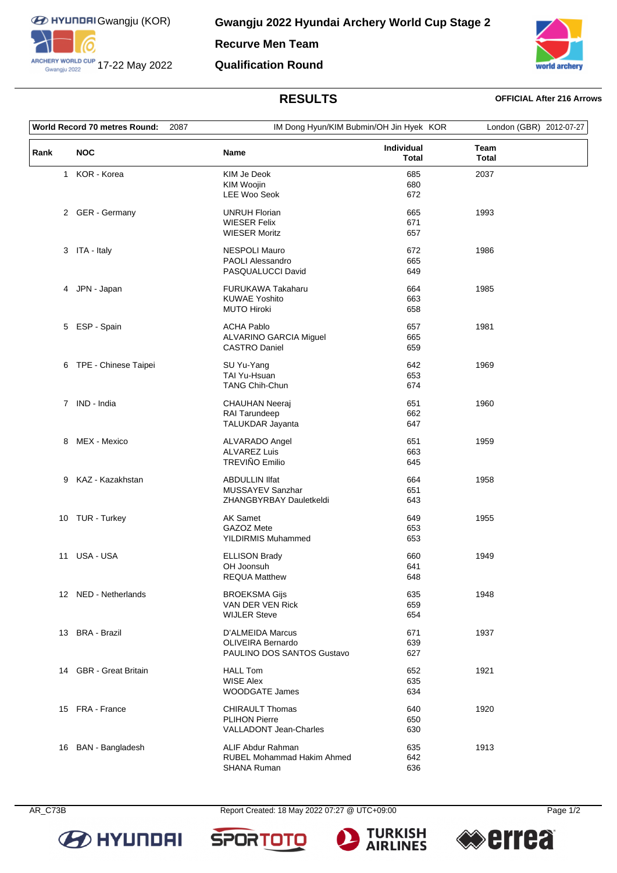

ARCHERY WORLD CUP 17-22 May 2022

**Recurve Men Team**

## **Qualification Round**



# **RESULTS OFFICIAL After 216 Arrows**

|              | World Record 70 metres Round: | 2087                                                                       | IM Dong Hyun/KIM Bubmin/OH Jin Hyek KOR |                      | London (GBR) 2012-07-27 |  |
|--------------|-------------------------------|----------------------------------------------------------------------------|-----------------------------------------|----------------------|-------------------------|--|
| Rank         | <b>NOC</b>                    | Name                                                                       | Individual<br><b>Total</b>              | Team<br><b>Total</b> |                         |  |
| $\mathbf{1}$ | KOR - Korea                   | KIM Je Deok<br>KIM Woojin<br><b>LEE Woo Seok</b>                           | 685<br>680<br>672                       | 2037                 |                         |  |
|              | 2 GER - Germany               | <b>UNRUH Florian</b><br><b>WIESER Felix</b><br><b>WIESER Moritz</b>        | 665<br>671<br>657                       | 1993                 |                         |  |
|              | 3 ITA - Italy                 | NESPOLI Mauro<br>PAOLI Alessandro<br>PASQUALUCCI David                     | 672<br>665<br>649                       | 1986                 |                         |  |
|              | 4 JPN - Japan                 | FURUKAWA Takaharu<br><b>KUWAE Yoshito</b><br><b>MUTO Hiroki</b>            | 664<br>663<br>658                       | 1985                 |                         |  |
| 5            | ESP - Spain                   | <b>ACHA Pablo</b><br>ALVARINO GARCIA Miguel<br><b>CASTRO Daniel</b>        | 657<br>665<br>659                       | 1981                 |                         |  |
|              | 6 TPE - Chinese Taipei        | SU Yu-Yang<br>TAI Yu-Hsuan<br><b>TANG Chih-Chun</b>                        | 642<br>653<br>674                       | 1969                 |                         |  |
|              | 7 IND - India                 | <b>CHAUHAN Neeraj</b><br>RAI Tarundeep<br>TALUKDAR Jayanta                 | 651<br>662<br>647                       | 1960                 |                         |  |
| 8            | MEX - Mexico                  | ALVARADO Angel<br><b>ALVAREZ Luis</b><br>TREVIÑO Emilio                    | 651<br>663<br>645                       | 1959                 |                         |  |
| 9            | KAZ - Kazakhstan              | <b>ABDULLIN IIfat</b><br>MUSSAYEV Sanzhar<br>ZHANGBYRBAY Dauletkeldi       | 664<br>651<br>643                       | 1958                 |                         |  |
|              | 10 TUR - Turkey               | AK Samet<br>GAZOZ Mete<br><b>YILDIRMIS Muhammed</b>                        | 649<br>653<br>653                       | 1955                 |                         |  |
| 11           | USA - USA                     | <b>ELLISON Brady</b><br>OH Joonsuh<br><b>REQUA Matthew</b>                 | 660<br>641<br>648                       | 1949                 |                         |  |
|              | 12 NED - Netherlands          | <b>BROEKSMA Gijs</b><br>VAN DER VEN Rick<br><b>WIJLER Steve</b>            | 635<br>659<br>654                       | 1948                 |                         |  |
|              | 13 BRA - Brazil               | D'ALMEIDA Marcus<br><b>OLIVEIRA Bernardo</b><br>PAULINO DOS SANTOS Gustavo | 671<br>639<br>627                       | 1937                 |                         |  |
|              | 14 GBR - Great Britain        | <b>HALL Tom</b><br><b>WISE Alex</b><br><b>WOODGATE James</b>               | 652<br>635<br>634                       | 1921                 |                         |  |
|              | 15 FRA - France               | <b>CHIRAULT Thomas</b><br><b>PLIHON Pierre</b><br>VALLADONT Jean-Charles   | 640<br>650<br>630                       | 1920                 |                         |  |
|              | 16 BAN - Bangladesh           | ALIF Abdur Rahman<br>RUBEL Mohammad Hakim Ahmed<br>SHANA Ruman             | 635<br>642<br>636                       | 1913                 |                         |  |



AR\_C73B Report Created: 18 May 2022 07:27 @ UTC+09:00

**SPOR**